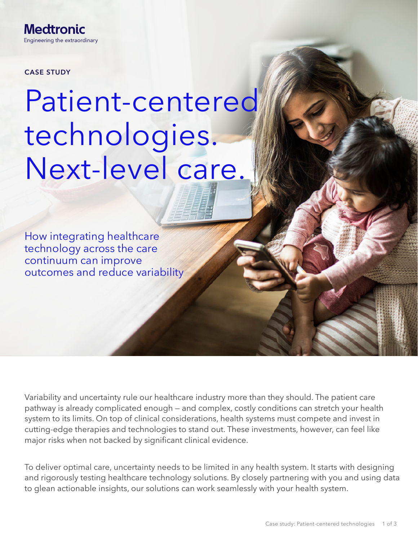**Medtronic** Engineering the extraordinary

CASE STUDY

# Patient-centered technologies. Next-level care.

How integrating healthcare technology across the care continuum can improve outcomes and reduce variability

Variability and uncertainty rule our healthcare industry more than they should. The patient care pathway is already complicated enough — and complex, costly conditions can stretch your health system to its limits. On top of clinical considerations, health systems must compete and invest in cutting-edge therapies and technologies to stand out. These investments, however, can feel like major risks when not backed by significant clinical evidence.

To deliver optimal care, uncertainty needs to be limited in any health system. It starts with designing and rigorously testing healthcare technology solutions. By closely partnering with you and using data to glean actionable insights, our solutions can work seamlessly with your health system.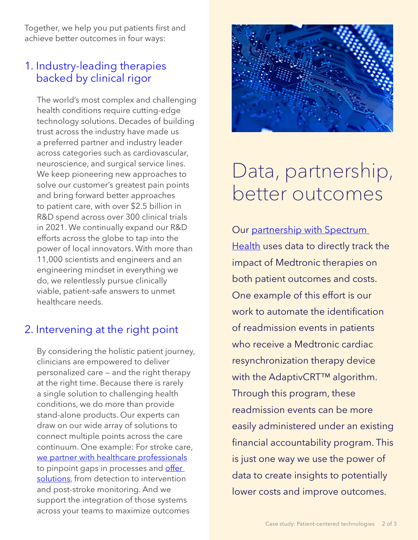Together, we help you put patients first and achieve better outcomes in four ways:

#### 1. Industry-leading therapies backed by clinical rigor

The world's most complex and challenging health conditions require cutting-edge technology solutions. Decades of building trust across the industry have made us a preferred partner and industry leader across categories such as cardiovascular, neuroscience, and surgical service lines. We keep pioneering new approaches to solve our customer's greatest pain points and bring forward better approaches to patient care, with over \$2.5 billion in R&D spend across over 300 clinical trials in 2021. We continually expand our R&D efforts across the globe to tap into the power of local innovators. With more than 11,000 scientists and engineers and an engineering mindset in everything we do, we relentlessly pursue clinically viable, patient-safe answers to unmet healthcare needs.

### 2. Intervening at the right point

By considering the holistic patient journey, clinicians are empowered to deliver personalized care — and the right therapy at the right time. Because there is rarely a single solution to challenging health conditions, we do more than provide stand-alone products. Our experts can draw on our wide array of solutions to connect multiple points across the care continuum. One example: For stroke care, [we partner with healthcare professionals](https://www.medtronic.com/us-en/c/neurological/medtronic-stroke-care-solution.html) to pinpoint gaps in processes and offer [solutions](https://www.medtronic.com/us-en/healthcare-professionals/therapies-procedures/stroke-care/stroke-product-portfolio.html), from detection to intervention and post-stroke monitoring. And we support the integration of those systems across your teams to maximize outcomes



## Data, partnership, better outcomes

Our [partnership with Spectrum](https://news.medtronic.com/2021-03-31-Spectrum-Health-and-Medtronic-Announce-Collaboration-to-Drive-Value-in-Healthcare-for-Patients-in-West-Michigan)  [Health](https://news.medtronic.com/2021-03-31-Spectrum-Health-and-Medtronic-Announce-Collaboration-to-Drive-Value-in-Healthcare-for-Patients-in-West-Michigan) uses data to directly track the impact of Medtronic therapies on both patient outcomes and costs. One example of this effort is our work to automate the identification of readmission events in patients who receive a Medtronic cardiac resynchronization therapy device with the AdaptivCRT<sup>™</sup> algorithm. Through this program, these readmission events can be more easily administered under an existing financial accountability program. This is just one way we use the power of data to create insights to potentially lower costs and improve outcomes.